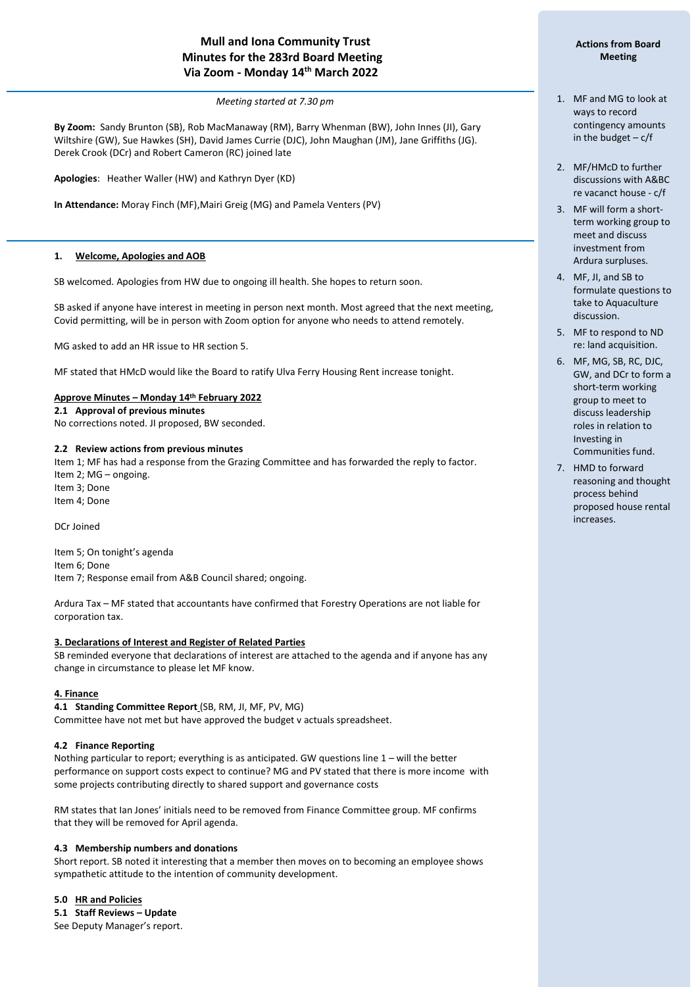# **Mull and Iona Community Trust Minutes for the 283rd Board Meeting Via Zoom - Monday 14 th March 2022**

*Meeting started at 7.30 pm*

**By Zoom:** Sandy Brunton (SB), Rob MacManaway (RM), Barry Whenman (BW), John Innes (JI), Gary Wiltshire (GW), Sue Hawkes (SH), David James Currie (DJC), John Maughan (JM), Jane Griffiths (JG). Derek Crook (DCr) and Robert Cameron (RC) joined late

**Apologies**: Heather Waller (HW) and Kathryn Dyer (KD)

**In Attendance:** Moray Finch (MF),Mairi Greig (MG) and Pamela Venters (PV)

### **1. Welcome, Apologies and AOB**

í

SB welcomed. Apologies from HW due to ongoing ill health. She hopes to return soon.

SB asked if anyone have interest in meeting in person next month. Most agreed that the next meeting, Covid permitting, will be in person with Zoom option for anyone who needs to attend remotely.

MG asked to add an HR issue to HR section 5.

MF stated that HMcD would like the Board to ratify Ulva Ferry Housing Rent increase tonight.

### **Approve Minutes – Monday 14th February 2022**

**2.1 Approval of previous minutes** No corrections noted. JI proposed, BW seconded.

### **2.2 Review actions from previous minutes**

Item 1; MF has had a response from the Grazing Committee and has forwarded the reply to factor. Item 2; MG – ongoing. Item 3; Done

Item 4; Done

DCr Joined

Item 5; On tonight's agenda Item 6; Done Item 7; Response email from A&B Council shared; ongoing.

Ardura Tax – MF stated that accountants have confirmed that Forestry Operations are not liable for corporation tax.

### **3. Declarations of Interest and Register of Related Parties**

SB reminded everyone that declarations of interest are attached to the agenda and if anyone has any change in circumstance to please let MF know.

#### **4. Finance**

**4.1 Standing Committee Report** (SB, RM, JI, MF, PV, MG) Committee have not met but have approved the budget v actuals spreadsheet.

#### **4.2 Finance Reporting**

Nothing particular to report; everything is as anticipated. GW questions line 1 – will the better performance on support costs expect to continue? MG and PV stated that there is more income with some projects contributing directly to shared support and governance costs

RM states that Ian Jones' initials need to be removed from Finance Committee group. MF confirms that they will be removed for April agenda.

#### **4.3 Membership numbers and donations**

Short report. SB noted it interesting that a member then moves on to becoming an employee shows sympathetic attitude to the intention of community development.

#### **5.0 HR and Policies**

**5.1 Staff Reviews – Update** See Deputy Manager's report.

## **Actions from Board Meeting**

- 1. MF and MG to look at ways to record contingency amounts in the budget  $-c/f$
- 2. MF/HMcD to further discussions with A&BC re vacanct house - c/f
- 3. MF will form a shortterm working group to meet and discuss investment from Ardura surpluses.
- 4. MF, JI, and SB to formulate questions to take to Aquaculture discussion.
- 5. MF to respond to ND re: land acquisition.
- 6. MF, MG, SB, RC, DJC, GW, and DCr to form a short-term working group to meet to discuss leadership roles in relation to Investing in Communities fund.
- 7. HMD to forward reasoning and thought process behind proposed house rental increases.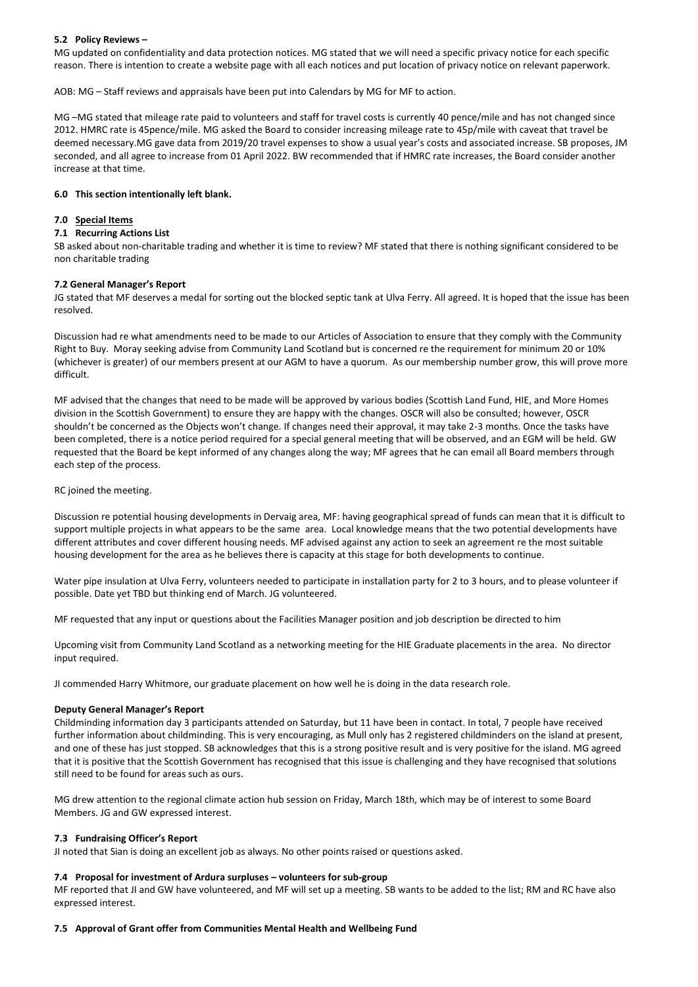### **5.2 Policy Reviews –**

MG updated on confidentiality and data protection notices. MG stated that we will need a specific privacy notice for each specific reason. There is intention to create a website page with all each notices and put location of privacy notice on relevant paperwork.

AOB: MG – Staff reviews and appraisals have been put into Calendars by MG for MF to action.

MG –MG stated that mileage rate paid to volunteers and staff for travel costs is currently 40 pence/mile and has not changed since 2012. HMRC rate is 45pence/mile. MG asked the Board to consider increasing mileage rate to 45p/mile with caveat that travel be deemed necessary.MG gave data from 2019/20 travel expenses to show a usual year's costs and associated increase. SB proposes, JM seconded, and all agree to increase from 01 April 2022. BW recommended that if HMRC rate increases, the Board consider another increase at that time.

### **6.0 This section intentionally left blank.**

#### **7.0 Special Items**

#### **7.1 Recurring Actions List**

SB asked about non-charitable trading and whether it is time to review? MF stated that there is nothing significant considered to be non charitable trading

#### **7.2 General Manager's Report**

JG stated that MF deserves a medal for sorting out the blocked septic tank at Ulva Ferry. All agreed. It is hoped that the issue has been resolved.

Discussion had re what amendments need to be made to our Articles of Association to ensure that they comply with the Community Right to Buy. Moray seeking advise from Community Land Scotland but is concerned re the requirement for minimum 20 or 10% (whichever is greater) of our members present at our AGM to have a quorum. As our membership number grow, this will prove more difficult.

MF advised that the changes that need to be made will be approved by various bodies (Scottish Land Fund, HIE, and More Homes division in the Scottish Government) to ensure they are happy with the changes. OSCR will also be consulted; however, OSCR shouldn't be concerned as the Objects won't change. If changes need their approval, it may take 2-3 months. Once the tasks have been completed, there is a notice period required for a special general meeting that will be observed, and an EGM will be held. GW requested that the Board be kept informed of any changes along the way; MF agrees that he can email all Board members through each step of the process.

### RC joined the meeting.

Discussion re potential housing developments in Dervaig area, MF: having geographical spread of funds can mean that it is difficult to support multiple projects in what appears to be the same area. Local knowledge means that the two potential developments have different attributes and cover different housing needs. MF advised against any action to seek an agreement re the most suitable housing development for the area as he believes there is capacity at this stage for both developments to continue.

Water pipe insulation at Ulva Ferry, volunteers needed to participate in installation party for 2 to 3 hours, and to please volunteer if possible. Date yet TBD but thinking end of March. JG volunteered.

MF requested that any input or questions about the Facilities Manager position and job description be directed to him

Upcoming visit from Community Land Scotland as a networking meeting for the HIE Graduate placements in the area. No director input required.

JI commended Harry Whitmore, our graduate placement on how well he is doing in the data research role.

#### **Deputy General Manager's Report**

Childminding information day 3 participants attended on Saturday, but 11 have been in contact. In total, 7 people have received further information about childminding. This is very encouraging, as Mull only has 2 registered childminders on the island at present, and one of these has just stopped. SB acknowledges that this is a strong positive result and is very positive for the island. MG agreed that it is positive that the Scottish Government has recognised that this issue is challenging and they have recognised that solutions still need to be found for areas such as ours.

MG drew attention to the regional climate action hub session on Friday, March 18th, which may be of interest to some Board Members. JG and GW expressed interest.

#### **7.3 Fundraising Officer's Report**

JI noted that Sian is doing an excellent job as always. No other points raised or questions asked.

#### **7.4 Proposal for investment of Ardura surpluses – volunteers for sub-group**

MF reported that JI and GW have volunteered, and MF will set up a meeting. SB wants to be added to the list; RM and RC have also expressed interest.

#### **7.5 Approval of Grant offer from Communities Mental Health and Wellbeing Fund**